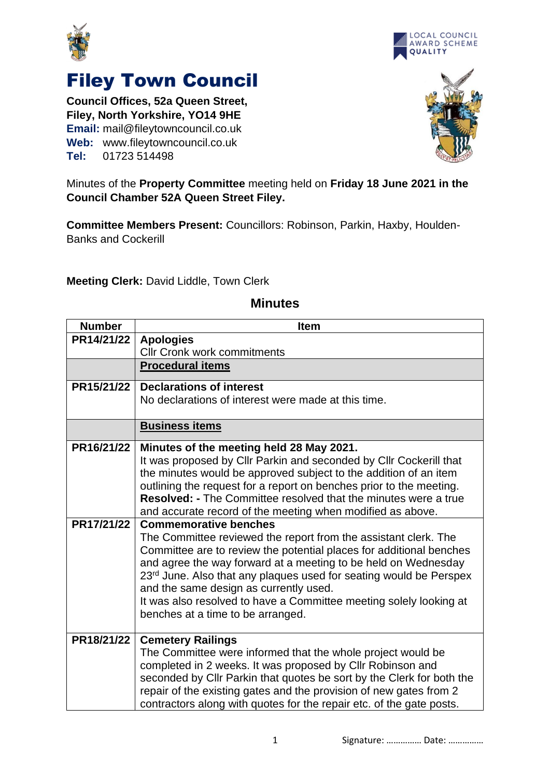



**Council Offices, 52a Queen Street, Filey, North Yorkshire, YO14 9HE Email:** mail@fileytowncouncil.co.uk **Web:** www.fileytowncouncil.co.uk **Tel:** 01723 514498



LOCAL COUNCIL

Minutes of the **Property Committee** meeting held on **Friday 18 June 2021 in the Council Chamber 52A Queen Street Filey.**

**Committee Members Present:** Councillors: Robinson, Parkin, Haxby, Houlden-Banks and Cockerill

**Meeting Clerk:** David Liddle, Town Clerk

## **Minutes**

| <b>Number</b> | <b>Item</b>                                                                                |
|---------------|--------------------------------------------------------------------------------------------|
| PR14/21/22    | <b>Apologies</b>                                                                           |
|               | <b>Cllr Cronk work commitments</b>                                                         |
|               | <b>Procedural items</b>                                                                    |
| PR15/21/22    | <b>Declarations of interest</b>                                                            |
|               | No declarations of interest were made at this time.                                        |
|               | <b>Business items</b>                                                                      |
| PR16/21/22    | Minutes of the meeting held 28 May 2021.                                                   |
|               | It was proposed by Cllr Parkin and seconded by Cllr Cockerill that                         |
|               | the minutes would be approved subject to the addition of an item                           |
|               | outlining the request for a report on benches prior to the meeting.                        |
|               | <b>Resolved: -</b> The Committee resolved that the minutes were a true                     |
| PR17/21/22    | and accurate record of the meeting when modified as above.<br><b>Commemorative benches</b> |
|               | The Committee reviewed the report from the assistant clerk. The                            |
|               | Committee are to review the potential places for additional benches                        |
|               | and agree the way forward at a meeting to be held on Wednesday                             |
|               | 23 <sup>rd</sup> June. Also that any plaques used for seating would be Perspex             |
|               | and the same design as currently used.                                                     |
|               | It was also resolved to have a Committee meeting solely looking at                         |
|               | benches at a time to be arranged.                                                          |
| PR18/21/22    | <b>Cemetery Railings</b>                                                                   |
|               | The Committee were informed that the whole project would be                                |
|               | completed in 2 weeks. It was proposed by Cllr Robinson and                                 |
|               | seconded by Cllr Parkin that quotes be sort by the Clerk for both the                      |
|               | repair of the existing gates and the provision of new gates from 2                         |
|               | contractors along with quotes for the repair etc. of the gate posts.                       |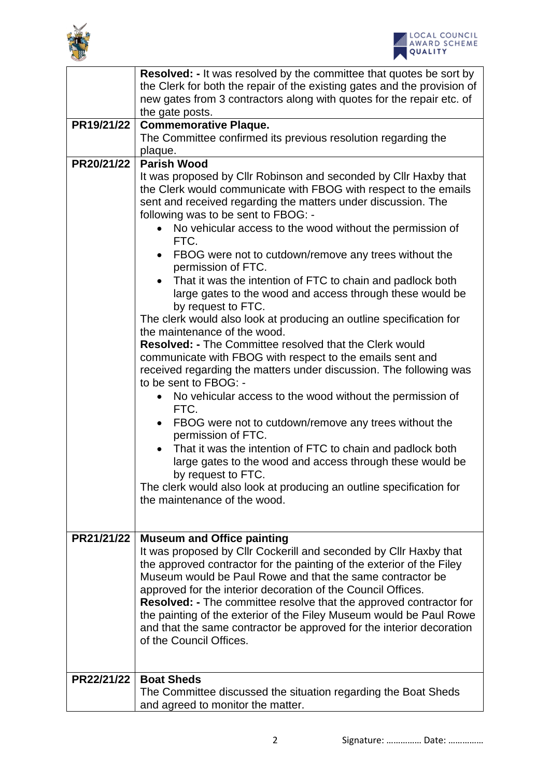



|            | <b>Resolved: - It was resolved by the committee that quotes be sort by</b>                                                                                                                                                                   |  |  |
|------------|----------------------------------------------------------------------------------------------------------------------------------------------------------------------------------------------------------------------------------------------|--|--|
|            | the Clerk for both the repair of the existing gates and the provision of<br>new gates from 3 contractors along with quotes for the repair etc. of                                                                                            |  |  |
|            | the gate posts.                                                                                                                                                                                                                              |  |  |
| PR19/21/22 | <b>Commemorative Plaque.</b>                                                                                                                                                                                                                 |  |  |
|            | The Committee confirmed its previous resolution regarding the                                                                                                                                                                                |  |  |
|            | plaque.                                                                                                                                                                                                                                      |  |  |
| PR20/21/22 | <b>Parish Wood</b>                                                                                                                                                                                                                           |  |  |
|            | It was proposed by Cllr Robinson and seconded by Cllr Haxby that<br>the Clerk would communicate with FBOG with respect to the emails<br>sent and received regarding the matters under discussion. The<br>following was to be sent to FBOG: - |  |  |
|            | No vehicular access to the wood without the permission of<br>FTC.                                                                                                                                                                            |  |  |
|            | FBOG were not to cutdown/remove any trees without the<br>permission of FTC.                                                                                                                                                                  |  |  |
|            | That it was the intention of FTC to chain and padlock both<br>large gates to the wood and access through these would be                                                                                                                      |  |  |
|            | by request to FTC.<br>The clerk would also look at producing an outline specification for<br>the maintenance of the wood.                                                                                                                    |  |  |
|            | <b>Resolved: - The Committee resolved that the Clerk would</b>                                                                                                                                                                               |  |  |
|            | communicate with FBOG with respect to the emails sent and                                                                                                                                                                                    |  |  |
|            | received regarding the matters under discussion. The following was<br>to be sent to FBOG: -                                                                                                                                                  |  |  |
|            | No vehicular access to the wood without the permission of<br>FTC.                                                                                                                                                                            |  |  |
|            | FBOG were not to cutdown/remove any trees without the<br>permission of FTC.                                                                                                                                                                  |  |  |
|            | That it was the intention of FTC to chain and padlock both                                                                                                                                                                                   |  |  |
|            | large gates to the wood and access through these would be                                                                                                                                                                                    |  |  |
|            | by request to FTC.                                                                                                                                                                                                                           |  |  |
|            | The clerk would also look at producing an outline specification for<br>the maintenance of the wood.                                                                                                                                          |  |  |
|            |                                                                                                                                                                                                                                              |  |  |
|            |                                                                                                                                                                                                                                              |  |  |
| PR21/21/22 | <b>Museum and Office painting</b>                                                                                                                                                                                                            |  |  |
|            | It was proposed by Cllr Cockerill and seconded by Cllr Haxby that                                                                                                                                                                            |  |  |
|            | the approved contractor for the painting of the exterior of the Filey<br>Museum would be Paul Rowe and that the same contractor be                                                                                                           |  |  |
|            | approved for the interior decoration of the Council Offices.                                                                                                                                                                                 |  |  |
|            | <b>Resolved:</b> - The committee resolve that the approved contractor for                                                                                                                                                                    |  |  |
|            | the painting of the exterior of the Filey Museum would be Paul Rowe                                                                                                                                                                          |  |  |
|            | and that the same contractor be approved for the interior decoration                                                                                                                                                                         |  |  |
|            | of the Council Offices.                                                                                                                                                                                                                      |  |  |
| PR22/21/22 | <b>Boat Sheds</b>                                                                                                                                                                                                                            |  |  |
|            | The Committee discussed the situation regarding the Boat Sheds                                                                                                                                                                               |  |  |
|            | and agreed to monitor the matter.                                                                                                                                                                                                            |  |  |